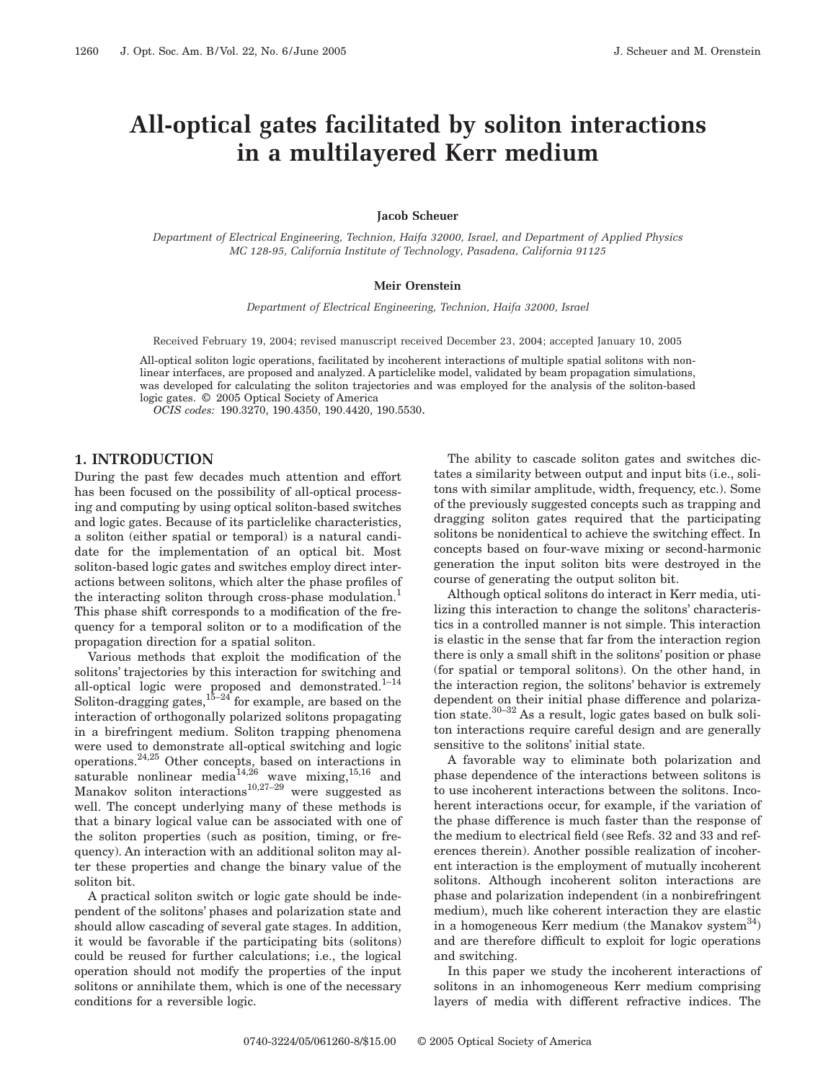# **All-optical gates facilitated by soliton interactions in a multilayered Kerr medium**

## **Jacob Scheuer**

*Department of Electrical Engineering, Technion, Haifa 32000, Israel, and Department of Applied Physics MC 128-95, California Institute of Technology, Pasadena, California 91125*

#### **Meir Orenstein**

*Department of Electrical Engineering, Technion, Haifa 32000, Israel*

Received February 19, 2004; revised manuscript received December 23, 2004; accepted January 10, 2005

All-optical soliton logic operations, facilitated by incoherent interactions of multiple spatial solitons with nonlinear interfaces, are proposed and analyzed. A particlelike model, validated by beam propagation simulations, was developed for calculating the soliton trajectories and was employed for the analysis of the soliton-based logic gates. © 2005 Optical Society of America

*OCIS codes:* 190.3270, 190.4350, 190.4420, 190.5530.

# **1. INTRODUCTION**

During the past few decades much attention and effort has been focused on the possibility of all-optical processing and computing by using optical soliton-based switches and logic gates. Because of its particlelike characteristics, a soliton (either spatial or temporal) is a natural candidate for the implementation of an optical bit. Most soliton-based logic gates and switches employ direct interactions between solitons, which alter the phase profiles of the interacting soliton through cross-phase modulation.<sup>1</sup> This phase shift corresponds to a modification of the frequency for a temporal soliton or to a modification of the propagation direction for a spatial soliton.

Various methods that exploit the modification of the solitons' trajectories by this interaction for switching and all-optical logic were proposed and demonstrated.<sup>1-14</sup> Soliton-dragging gates,  $15-24$  for example, are based on the interaction of orthogonally polarized solitons propagating in a birefringent medium. Soliton trapping phenomena were used to demonstrate all-optical switching and logic operations.24,25 Other concepts, based on interactions in saturable nonlinear media $14,26$  wave mixing,  $15,16$  and Manakov soliton interactions $10,27-29$  were suggested as well. The concept underlying many of these methods is that a binary logical value can be associated with one of the soliton properties (such as position, timing, or frequency). An interaction with an additional soliton may alter these properties and change the binary value of the soliton bit.

A practical soliton switch or logic gate should be independent of the solitons' phases and polarization state and should allow cascading of several gate stages. In addition, it would be favorable if the participating bits (solitons) could be reused for further calculations; i.e., the logical operation should not modify the properties of the input solitons or annihilate them, which is one of the necessary conditions for a reversible logic.

The ability to cascade soliton gates and switches dictates a similarity between output and input bits (i.e., solitons with similar amplitude, width, frequency, etc.). Some of the previously suggested concepts such as trapping and dragging soliton gates required that the participating solitons be nonidentical to achieve the switching effect. In concepts based on four-wave mixing or second-harmonic generation the input soliton bits were destroyed in the course of generating the output soliton bit.

Although optical solitons do interact in Kerr media, utilizing this interaction to change the solitons' characteristics in a controlled manner is not simple. This interaction is elastic in the sense that far from the interaction region there is only a small shift in the solitons' position or phase (for spatial or temporal solitons). On the other hand, in the interaction region, the solitons' behavior is extremely dependent on their initial phase difference and polarization state.<sup>30–32</sup> As a result, logic gates based on bulk soliton interactions require careful design and are generally sensitive to the solitons' initial state.

A favorable way to eliminate both polarization and phase dependence of the interactions between solitons is to use incoherent interactions between the solitons. Incoherent interactions occur, for example, if the variation of the phase difference is much faster than the response of the medium to electrical field (see Refs. 32 and 33 and references therein). Another possible realization of incoherent interaction is the employment of mutually incoherent solitons. Although incoherent soliton interactions are phase and polarization independent (in a nonbirefringent medium), much like coherent interaction they are elastic in a homogeneous Kerr medium (the Manakov system  $34$ ) and are therefore difficult to exploit for logic operations and switching.

In this paper we study the incoherent interactions of solitons in an inhomogeneous Kerr medium comprising layers of media with different refractive indices. The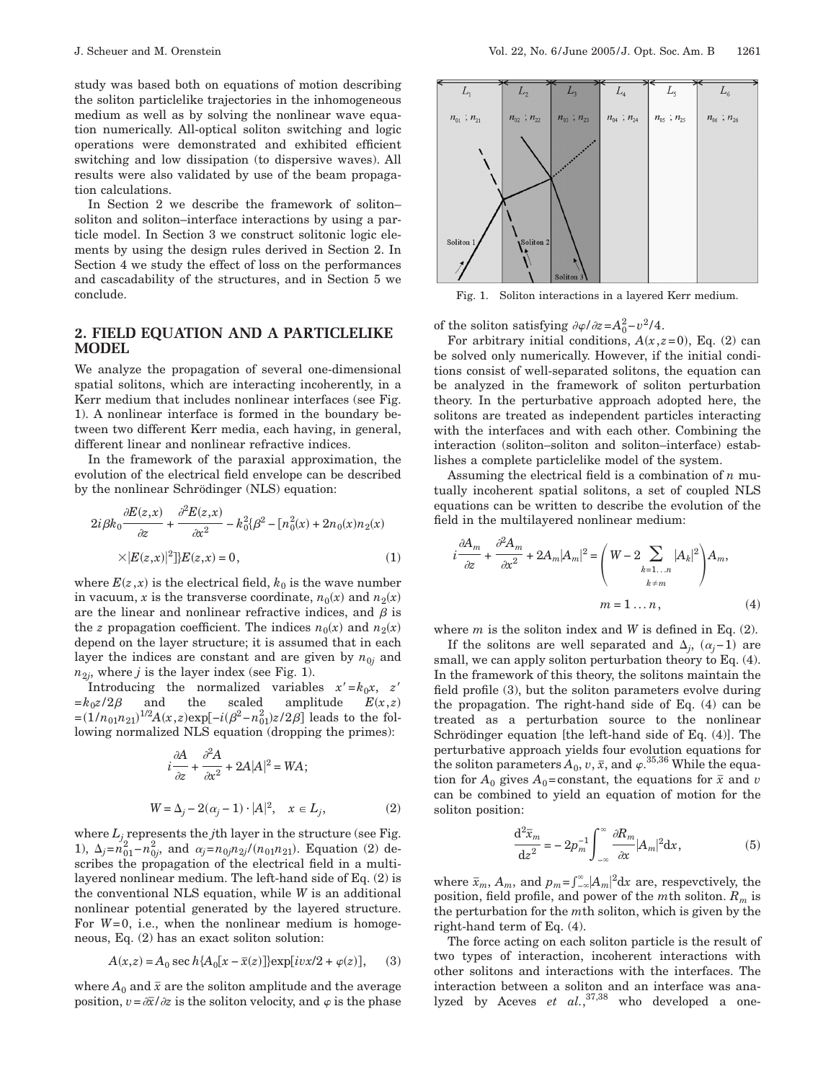study was based both on equations of motion describing the soliton particlelike trajectories in the inhomogeneous medium as well as by solving the nonlinear wave equation numerically. All-optical soliton switching and logic operations were demonstrated and exhibited efficient switching and low dissipation (to dispersive waves). All results were also validated by use of the beam propagation calculations.

In Section 2 we describe the framework of soliton– soliton and soliton–interface interactions by using a particle model. In Section 3 we construct solitonic logic elements by using the design rules derived in Section 2. In Section 4 we study the effect of loss on the performances and cascadability of the structures, and in Section 5 we conclude.

## **2. FIELD EQUATION AND A PARTICLELIKE MODEL**

We analyze the propagation of several one-dimensional spatial solitons, which are interacting incoherently, in a Kerr medium that includes nonlinear interfaces (see Fig. 1). A nonlinear interface is formed in the boundary between two different Kerr media, each having, in general, different linear and nonlinear refractive indices.

In the framework of the paraxial approximation, the evolution of the electrical field envelope can be described by the nonlinear Schrödinger (NLS) equation:

$$
2i\beta k_0 \frac{\partial E(z,x)}{\partial z} + \frac{\partial^2 E(z,x)}{\partial x^2} - k_0^2 \beta^2 - [n_0^2(x) + 2n_0(x)n_2(x) + |E(z,x)|^2]E(z,x) = 0,
$$
\n(1)

where  $E(z, x)$  is the electrical field,  $k_0$  is the wave number in vacuum, x is the transverse coordinate,  $n_0(x)$  and  $n_2(x)$ are the linear and nonlinear refractive indices, and  $\beta$  is the *z* propagation coefficient. The indices  $n_0(x)$  and  $n_2(x)$ depend on the layer structure; it is assumed that in each layer the indices are constant and are given by  $n_{0j}$  and  $n_{2i}$ , where *j* is the layer index (see Fig. 1).

Introducing the normalized variables  $x'=k_0x$ ,  $z'$  $=k_0z/2\beta$  and the scaled amplitude  $E(x,z)$  $=(1/n_{01}n_{21})^{1/2}A(x,z)exp[-i(\beta^2-n_{01}^2)z/2\beta]$  leads to the following normalized NLS equation (dropping the primes):

$$
i\frac{\partial A}{\partial z} + \frac{\partial^2 A}{\partial x^2} + 2A|A|^2 = WA;
$$
  
 
$$
W = \Delta_j - 2(\alpha_j - 1) \cdot |A|^2, \quad x \in L_j,
$$
 (2)

where  $L_i$  represents the *j*th layer in the structure (see Fig. 1),  $\Delta_j = n_{01}^2 - n_{0j}^2$ , and  $\alpha_j = n_{0j}n_{2j}/(n_{01}n_{21})$ . Equation (2) describes the propagation of the electrical field in a multilayered nonlinear medium. The left-hand side of Eq. (2) is the conventional NLS equation, while *W* is an additional nonlinear potential generated by the layered structure. For *W*=0, i.e., when the nonlinear medium is homogeneous, Eq. (2) has an exact soliton solution:

$$
A(x,z) = A_0 \sec h \{ A_0[x - \bar{x}(z)] \} \exp[i\upsilon x/2 + \varphi(z)], \quad (3)
$$

where  $A_0$  and  $\bar{x}$  are the soliton amplitude and the average position,  $v = \frac{\partial \overline{x}}{\partial z}$  is the soliton velocity, and  $\varphi$  is the phase



Fig. 1. Soliton interactions in a layered Kerr medium.

of the soliton satisfying  $\partial \varphi / \partial z = A_0^2 - v^2 / 4$ .

For arbitrary initial conditions,  $A(x,z=0)$ , Eq. (2) can be solved only numerically. However, if the initial conditions consist of well-separated solitons, the equation can be analyzed in the framework of soliton perturbation theory. In the perturbative approach adopted here, the solitons are treated as independent particles interacting with the interfaces and with each other. Combining the interaction (soliton–soliton and soliton–interface) establishes a complete particlelike model of the system.

Assuming the electrical field is a combination of *n* mutually incoherent spatial solitons, a set of coupled NLS equations can be written to describe the evolution of the field in the multilayered nonlinear medium:

$$
i\frac{\partial A_m}{\partial z} + \frac{\partial^2 A_m}{\partial x^2} + 2A_m |A_m|^2 = \left(W - 2 \sum_{\substack{k=1...n\\k \neq m}} |A_k|^2\right) A_m,
$$
  

$$
m = 1 ... n,
$$
 (4)

where *m* is the soliton index and *W* is defined in Eq. (2).

If the solitons are well separated and  $\Delta_j$ ,  $(\alpha_j-1)$  are small, we can apply soliton perturbation theory to Eq. (4). In the framework of this theory, the solitons maintain the field profile (3), but the soliton parameters evolve during the propagation. The right-hand side of Eq. (4) can be treated as a perturbation source to the nonlinear Schrödinger equation [the left-hand side of Eq. (4)]. The perturbative approach yields four evolution equations for the soliton parameters  $A_0$ ,  $v, \bar{x}$ , and  $\varphi$ .<sup>35,36</sup> While the equation for  $A_0$  gives  $A_0$ =constant, the equations for  $\bar{x}$  and *v* can be combined to yield an equation of motion for the soliton position:

$$
\frac{\mathrm{d}^2 \bar{x}_m}{\mathrm{d}z^2} = -2p_m^{-1} \int_{-\infty}^{\infty} \frac{\partial R_m}{\partial x} |A_m|^2 \mathrm{d}x,\tag{5}
$$

where  $\bar{x}_m$ ,  $A_m$ , and  $p_m = \int_{-\infty}^{\infty} |A_m|^2 dx$  are, respectively, the position, field profile, and power of the *m*th soliton. *Rm* is the perturbation for the *m*th soliton, which is given by the right-hand term of Eq. (4).

The force acting on each soliton particle is the result of two types of interaction, incoherent interactions with other solitons and interactions with the interfaces. The interaction between a soliton and an interface was analyzed by Aceves *et al.*, 37,38 who developed a one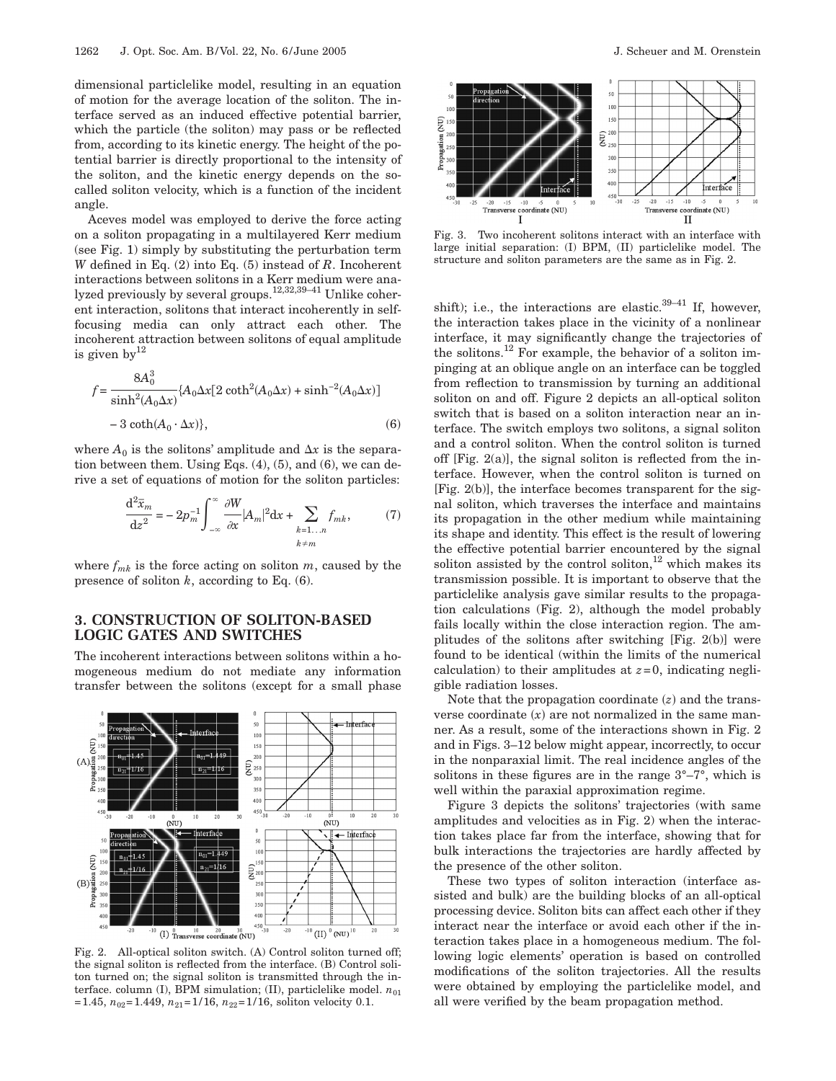dimensional particlelike model, resulting in an equation of motion for the average location of the soliton. The interface served as an induced effective potential barrier, which the particle (the soliton) may pass or be reflected from, according to its kinetic energy. The height of the potential barrier is directly proportional to the intensity of the soliton, and the kinetic energy depends on the socalled soliton velocity, which is a function of the incident angle.

Aceves model was employed to derive the force acting on a soliton propagating in a multilayered Kerr medium (see Fig. 1) simply by substituting the perturbation term *W* defined in Eq. (2) into Eq. (5) instead of *R*. Incoherent interactions between solitons in a Kerr medium were analyzed previously by several groups.12,32,39–41 Unlike coherent interaction, solitons that interact incoherently in selffocusing media can only attract each other. The incoherent attraction between solitons of equal amplitude is given by  $12$ 

$$
f = \frac{8A_0^3}{\sinh^2(A_0\Delta x)} \{A_0\Delta x[2\coth^2(A_0\Delta x) + \sinh^{-2}(A_0\Delta x)]
$$
  
- 3\coth(A<sub>0</sub> · \Delta x)\}, (6)

where  $A_0$  is the solitons' amplitude and  $\Delta x$  is the separation between them. Using Eqs. (4), (5), and (6), we can derive a set of equations of motion for the soliton particles:

$$
\frac{\mathrm{d}^2 \bar{x}_m}{\mathrm{d}z^2} = -2p_m^{-1} \int_{-\infty}^{\infty} \frac{\partial W}{\partial x} |A_m|^2 \mathrm{d}x + \sum_{\substack{k=1...n\\k \neq m}} f_{mk},\tag{7}
$$

where  $f_{mk}$  is the force acting on soliton  $m$ , caused by the presence of soliton *k*, according to Eq. (6).

# **3. CONSTRUCTION OF SOLITON-BASED LOGIC GATES AND SWITCHES**

The incoherent interactions between solitons within a homogeneous medium do not mediate any information transfer between the solitons (except for a small phase



Fig. 2. All-optical soliton switch. (A) Control soliton turned off; the signal soliton is reflected from the interface. (B) Control soliton turned on; the signal soliton is transmitted through the interface. column (I), BPM simulation; (II), particlelike model.  $n_{01}$  $=1.45$ ,  $n_{02}=1.449$ ,  $n_{21}=1/16$ ,  $n_{22}=1/16$ , soliton velocity 0.1.



Fig. 3. Two incoherent solitons interact with an interface with large initial separation: (I) BPM, (II) particlelike model. The structure and soliton parameters are the same as in Fig. 2.

shift); i.e., the interactions are elastic.<sup>39–41</sup> If, however, the interaction takes place in the vicinity of a nonlinear interface, it may significantly change the trajectories of the solitons.12 For example, the behavior of a soliton impinging at an oblique angle on an interface can be toggled from reflection to transmission by turning an additional soliton on and off. Figure 2 depicts an all-optical soliton switch that is based on a soliton interaction near an interface. The switch employs two solitons, a signal soliton and a control soliton. When the control soliton is turned off [Fig. 2(a)], the signal soliton is reflected from the interface. However, when the control soliton is turned on [Fig. 2(b)], the interface becomes transparent for the signal soliton, which traverses the interface and maintains its propagation in the other medium while maintaining its shape and identity. This effect is the result of lowering the effective potential barrier encountered by the signal soliton assisted by the control soliton, $12$  which makes its transmission possible. It is important to observe that the particlelike analysis gave similar results to the propagation calculations (Fig. 2), although the model probably fails locally within the close interaction region. The amplitudes of the solitons after switching [Fig. 2(b)] were found to be identical (within the limits of the numerical calculation) to their amplitudes at  $z=0$ , indicating negligible radiation losses.

Note that the propagation coordinate  $(z)$  and the transverse coordinate  $(x)$  are not normalized in the same manner. As a result, some of the interactions shown in Fig. 2 and in Figs. 3–12 below might appear, incorrectly, to occur in the nonparaxial limit. The real incidence angles of the solitons in these figures are in the range  $3^{\circ}-7^{\circ}$ , which is well within the paraxial approximation regime.

Figure 3 depicts the solitons' trajectories (with same amplitudes and velocities as in Fig. 2) when the interaction takes place far from the interface, showing that for bulk interactions the trajectories are hardly affected by the presence of the other soliton.

These two types of soliton interaction (interface assisted and bulk) are the building blocks of an all-optical processing device. Soliton bits can affect each other if they interact near the interface or avoid each other if the interaction takes place in a homogeneous medium. The following logic elements' operation is based on controlled modifications of the soliton trajectories. All the results were obtained by employing the particlelike model, and all were verified by the beam propagation method.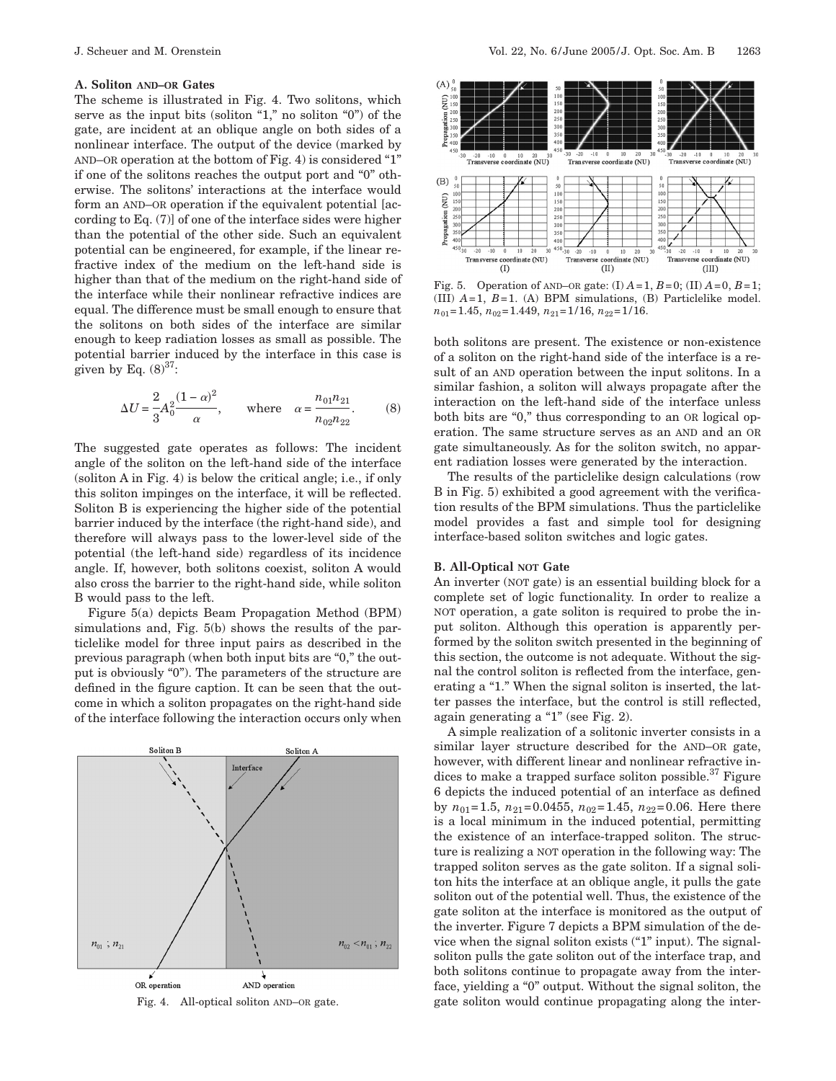#### **A. Soliton AND–OR Gates**

The scheme is illustrated in Fig. 4. Two solitons, which serve as the input bits (soliton "1," no soliton "0") of the gate, are incident at an oblique angle on both sides of a nonlinear interface. The output of the device (marked by AND–OR operation at the bottom of Fig. 4) is considered "1" if one of the solitons reaches the output port and "0" otherwise. The solitons' interactions at the interface would form an AND–OR operation if the equivalent potential [according to Eq. (7)] of one of the interface sides were higher than the potential of the other side. Such an equivalent potential can be engineered, for example, if the linear refractive index of the medium on the left-hand side is higher than that of the medium on the right-hand side of the interface while their nonlinear refractive indices are equal. The difference must be small enough to ensure that the solitons on both sides of the interface are similar enough to keep radiation losses as small as possible. The potential barrier induced by the interface in this case is given by Eq.  $(8)^{37}$ :

$$
\Delta U = \frac{2}{3} A_0^2 \frac{(1-\alpha)^2}{\alpha}, \quad \text{where} \quad \alpha = \frac{n_{01} n_{21}}{n_{02} n_{22}}.
$$
 (8)

The suggested gate operates as follows: The incident angle of the soliton on the left-hand side of the interface (soliton A in Fig. 4) is below the critical angle; i.e., if only this soliton impinges on the interface, it will be reflected. Soliton B is experiencing the higher side of the potential barrier induced by the interface (the right-hand side), and therefore will always pass to the lower-level side of the potential (the left-hand side) regardless of its incidence angle. If, however, both solitons coexist, soliton A would also cross the barrier to the right-hand side, while soliton B would pass to the left.

Figure 5(a) depicts Beam Propagation Method (BPM) simulations and, Fig. 5(b) shows the results of the particlelike model for three input pairs as described in the previous paragraph (when both input bits are "0," the output is obviously "0"). The parameters of the structure are defined in the figure caption. It can be seen that the outcome in which a soliton propagates on the right-hand side of the interface following the interaction occurs only when





Fig. 5. Operation of AND–OR gate: (I) *A*=1, *B*=0; (II) *A*=0, *B*=1; (III)  $A=1$ ,  $B=1$ . (A) BPM simulations, (B) Particlelike model. *n*<sub>01</sub>=1.45,  $n_{02}$ =1.449,  $n_{21}$ =1/16,  $n_{22}$ =1/16.

both solitons are present. The existence or non-existence of a soliton on the right-hand side of the interface is a result of an AND operation between the input solitons. In a similar fashion, a soliton will always propagate after the interaction on the left-hand side of the interface unless both bits are "0," thus corresponding to an OR logical operation. The same structure serves as an AND and an OR gate simultaneously. As for the soliton switch, no apparent radiation losses were generated by the interaction.

The results of the particlelike design calculations (row B in Fig. 5) exhibited a good agreement with the verification results of the BPM simulations. Thus the particlelike model provides a fast and simple tool for designing interface-based soliton switches and logic gates.

## **B. All-Optical NOT Gate**

An inverter (NOT gate) is an essential building block for a complete set of logic functionality. In order to realize a NOT operation, a gate soliton is required to probe the input soliton. Although this operation is apparently performed by the soliton switch presented in the beginning of this section, the outcome is not adequate. Without the signal the control soliton is reflected from the interface, generating a "1." When the signal soliton is inserted, the latter passes the interface, but the control is still reflected, again generating a "1" (see Fig. 2).

A simple realization of a solitonic inverter consists in a similar layer structure described for the AND–OR gate, however, with different linear and nonlinear refractive indices to make a trapped surface soliton possible.<sup>37</sup> Figure 6 depicts the induced potential of an interface as defined by  $n_{01}$ =1.5,  $n_{21}$ =0.0455,  $n_{02}$ =1.45,  $n_{22}$ =0.06. Here there is a local minimum in the induced potential, permitting the existence of an interface-trapped soliton. The structure is realizing a NOT operation in the following way: The trapped soliton serves as the gate soliton. If a signal soliton hits the interface at an oblique angle, it pulls the gate soliton out of the potential well. Thus, the existence of the gate soliton at the interface is monitored as the output of the inverter. Figure 7 depicts a BPM simulation of the device when the signal soliton exists ("1" input). The signalsoliton pulls the gate soliton out of the interface trap, and both solitons continue to propagate away from the interface, yielding a "0" output. Without the signal soliton, the Fig. 4. All-optical soliton AND–OR gate. gate soliton would continue propagating along the inter-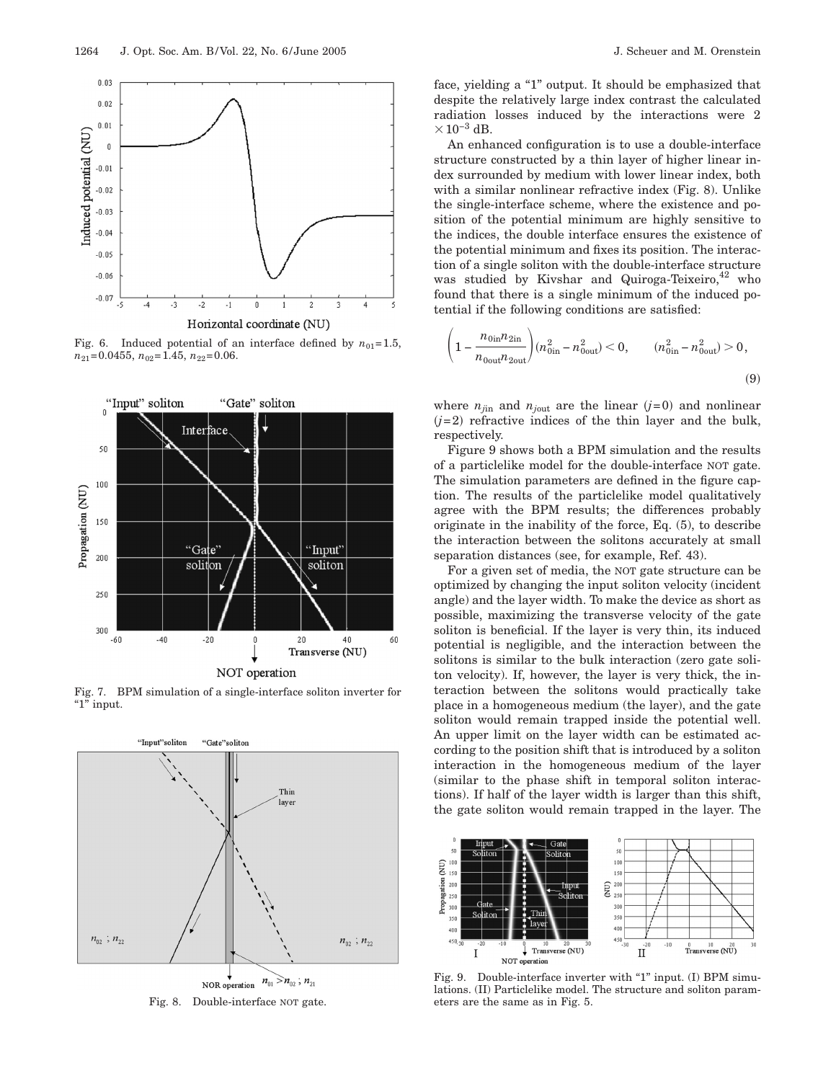

Fig. 6. Induced potential of an interface defined by  $n_{01}=1.5$ ,  $n_{21}=0.0455$ ,  $n_{02}=1.45$ ,  $n_{22}=0.06$ .



Fig. 7. BPM simulation of a single-interface soliton inverter for "1" input.



Fig. 8. Double-interface NOT gate.

face, yielding a "1" output. It should be emphasized that despite the relatively large index contrast the calculated radiation losses induced by the interactions were 2  $\times$ 10<sup>-3</sup> dB.

An enhanced configuration is to use a double-interface structure constructed by a thin layer of higher linear index surrounded by medium with lower linear index, both with a similar nonlinear refractive index (Fig. 8). Unlike the single-interface scheme, where the existence and position of the potential minimum are highly sensitive to the indices, the double interface ensures the existence of the potential minimum and fixes its position. The interaction of a single soliton with the double-interface structure was studied by Kivshar and Quiroga-Teixeiro,  $42$  who found that there is a single minimum of the induced potential if the following conditions are satisfied:

$$
\left(1 - \frac{n_{0\text{in}}n_{2\text{in}}}{n_{0\text{out}}n_{2\text{out}}}\right) (n_{0\text{in}}^2 - n_{0\text{out}}^2) < 0, \qquad (n_{0\text{in}}^2 - n_{0\text{out}}^2) > 0,\tag{9}
$$

where  $n_{j\text{in}}$  and  $n_{j\text{out}}$  are the linear  $(j=0)$  and nonlinear  $(j=2)$  refractive indices of the thin layer and the bulk, respectively.

Figure 9 shows both a BPM simulation and the results of a particlelike model for the double-interface NOT gate. The simulation parameters are defined in the figure caption. The results of the particlelike model qualitatively agree with the BPM results; the differences probably originate in the inability of the force, Eq. (5), to describe the interaction between the solitons accurately at small separation distances (see, for example, Ref. 43).

For a given set of media, the NOT gate structure can be optimized by changing the input soliton velocity (incident angle) and the layer width. To make the device as short as possible, maximizing the transverse velocity of the gate soliton is beneficial. If the layer is very thin, its induced potential is negligible, and the interaction between the solitons is similar to the bulk interaction (zero gate soliton velocity). If, however, the layer is very thick, the interaction between the solitons would practically take place in a homogeneous medium (the layer), and the gate soliton would remain trapped inside the potential well. An upper limit on the layer width can be estimated according to the position shift that is introduced by a soliton interaction in the homogeneous medium of the layer (similar to the phase shift in temporal soliton interactions). If half of the layer width is larger than this shift, the gate soliton would remain trapped in the layer. The



Fig. 9. Double-interface inverter with "1" input. (I) BPM simulations. (II) Particlelike model. The structure and soliton parameters are the same as in Fig. 5.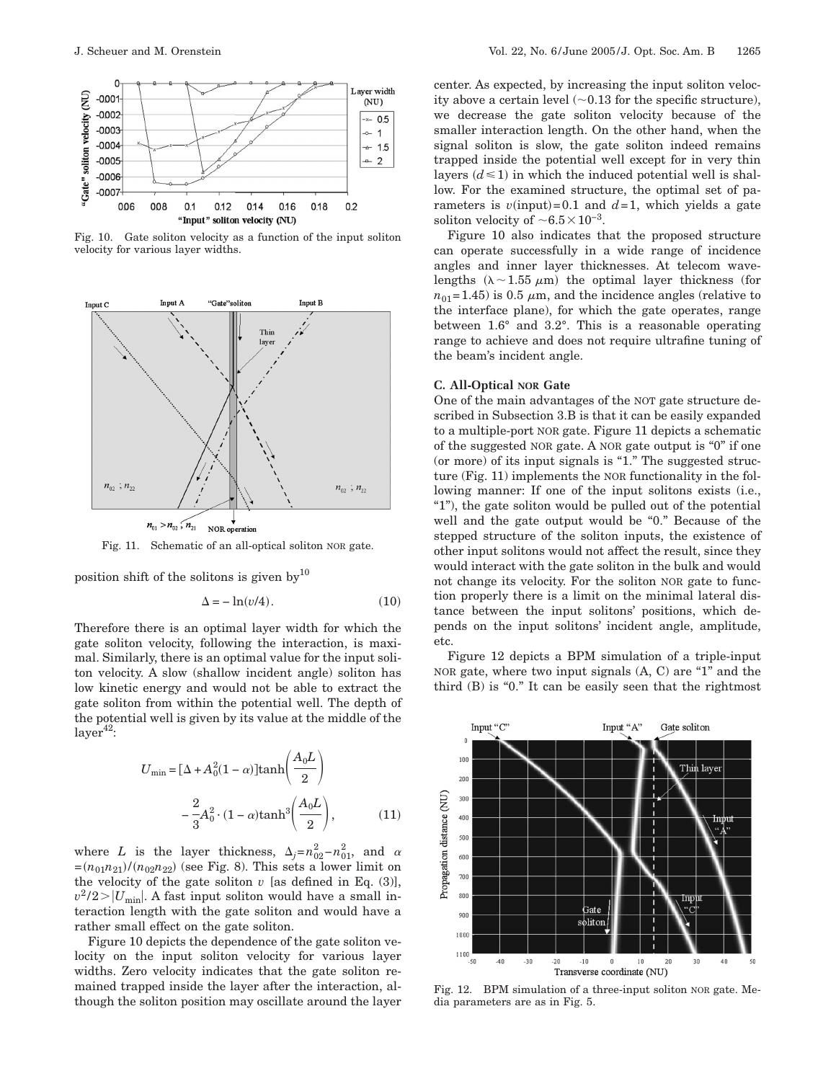

Fig. 10. Gate soliton velocity as a function of the input soliton velocity for various layer widths.



Fig. 11. Schematic of an all-optical soliton NOR gate.

position shift of the solitons is given by  $10$ 

$$
\Delta = -\ln(v/4). \tag{10}
$$

Therefore there is an optimal layer width for which the gate soliton velocity, following the interaction, is maximal. Similarly, there is an optimal value for the input soliton velocity. A slow (shallow incident angle) soliton has low kinetic energy and would not be able to extract the gate soliton from within the potential well. The depth of the potential well is given by its value at the middle of the  $layer<sup>42</sup>$ :

$$
U_{\min} = \left[\Delta + A_0^2 (1 - \alpha)\right] \tanh\left(\frac{A_0 L}{2}\right)
$$

$$
-\frac{2}{3} A_0^2 \cdot (1 - \alpha) \tanh^3\left(\frac{A_0 L}{2}\right),\tag{11}
$$

where *L* is the layer thickness,  $\Delta_j = n_{02}^2 - n_{01}^2$ , and  $\alpha$  $=(n_{01}n_{21})/(n_{02}n_{22})$  (see Fig. 8). This sets a lower limit on the velocity of the gate soliton  $v$  [as defined in Eq.  $(3)$ ],  $v^2/2 > |U_{\text{min}}|$ . A fast input soliton would have a small interaction length with the gate soliton and would have a rather small effect on the gate soliton.

Figure 10 depicts the dependence of the gate soliton velocity on the input soliton velocity for various layer widths. Zero velocity indicates that the gate soliton remained trapped inside the layer after the interaction, although the soliton position may oscillate around the layer

center. As expected, by increasing the input soliton velocity above a certain level  $(\sim 0.13$  for the specific structure), we decrease the gate soliton velocity because of the smaller interaction length. On the other hand, when the signal soliton is slow, the gate soliton indeed remains trapped inside the potential well except for in very thin layers  $(d \le 1)$  in which the induced potential well is shallow. For the examined structure, the optimal set of parameters is  $v$ (input)=0.1 and  $d=1$ , which yields a gate soliton velocity of  $\sim6.5\times10^{-3}$ .

Figure 10 also indicates that the proposed structure can operate successfully in a wide range of incidence angles and inner layer thicknesses. At telecom wavelengths  $(\lambda \sim 1.55 \mu m)$  the optimal layer thickness (for  $n_{01}$ =1.45) is 0.5  $\mu$ m, and the incidence angles (relative to the interface plane), for which the gate operates, range between 1.6° and 3.2°. This is a reasonable operating range to achieve and does not require ultrafine tuning of the beam's incident angle.

### **C. All-Optical NOR Gate**

One of the main advantages of the NOT gate structure described in Subsection 3.B is that it can be easily expanded to a multiple-port NOR gate. Figure 11 depicts a schematic of the suggested NOR gate. A NOR gate output is "0" if one (or more) of its input signals is "1." The suggested structure (Fig. 11) implements the NOR functionality in the following manner: If one of the input solitons exists (i.e., "1"), the gate soliton would be pulled out of the potential well and the gate output would be "0." Because of the stepped structure of the soliton inputs, the existence of other input solitons would not affect the result, since they would interact with the gate soliton in the bulk and would not change its velocity. For the soliton NOR gate to function properly there is a limit on the minimal lateral distance between the input solitons' positions, which depends on the input solitons' incident angle, amplitude, etc.

Figure 12 depicts a BPM simulation of a triple-input NOR gate, where two input signals (A, C) are "1" and the third (B) is "0." It can be easily seen that the rightmost



Fig. 12. BPM simulation of a three-input soliton NOR gate. Media parameters are as in Fig. 5.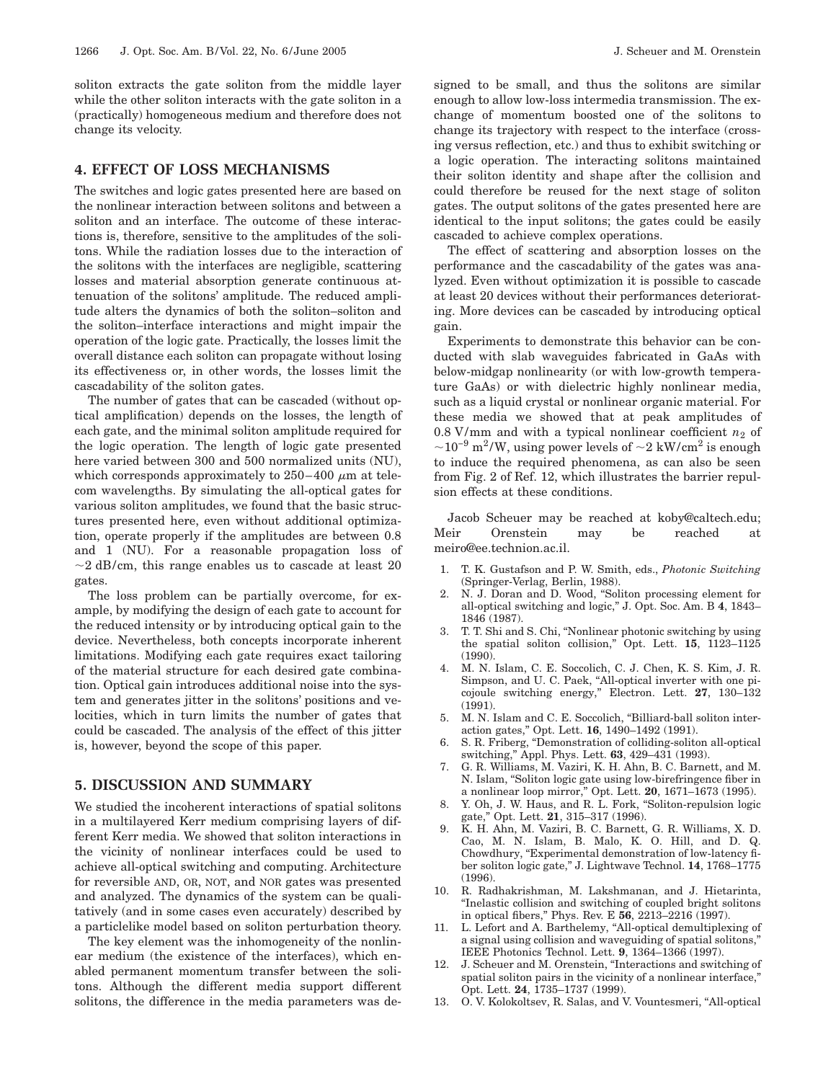soliton extracts the gate soliton from the middle layer while the other soliton interacts with the gate soliton in a (practically) homogeneous medium and therefore does not change its velocity.

# **4. EFFECT OF LOSS MECHANISMS**

The switches and logic gates presented here are based on the nonlinear interaction between solitons and between a soliton and an interface. The outcome of these interactions is, therefore, sensitive to the amplitudes of the solitons. While the radiation losses due to the interaction of the solitons with the interfaces are negligible, scattering losses and material absorption generate continuous attenuation of the solitons' amplitude. The reduced amplitude alters the dynamics of both the soliton–soliton and the soliton–interface interactions and might impair the operation of the logic gate. Practically, the losses limit the overall distance each soliton can propagate without losing its effectiveness or, in other words, the losses limit the cascadability of the soliton gates.

The number of gates that can be cascaded (without optical amplification) depends on the losses, the length of each gate, and the minimal soliton amplitude required for the logic operation. The length of logic gate presented here varied between 300 and 500 normalized units (NU), which corresponds approximately to  $250-400 \mu m$  at telecom wavelengths. By simulating the all-optical gates for various soliton amplitudes, we found that the basic structures presented here, even without additional optimization, operate properly if the amplitudes are between 0.8 and 1 (NU). For a reasonable propagation loss of  $\sim$ 2 dB/cm, this range enables us to cascade at least 20 gates.

The loss problem can be partially overcome, for example, by modifying the design of each gate to account for the reduced intensity or by introducing optical gain to the device. Nevertheless, both concepts incorporate inherent limitations. Modifying each gate requires exact tailoring of the material structure for each desired gate combination. Optical gain introduces additional noise into the system and generates jitter in the solitons' positions and velocities, which in turn limits the number of gates that could be cascaded. The analysis of the effect of this jitter is, however, beyond the scope of this paper.

## **5. DISCUSSION AND SUMMARY**

We studied the incoherent interactions of spatial solitons in a multilayered Kerr medium comprising layers of different Kerr media. We showed that soliton interactions in the vicinity of nonlinear interfaces could be used to achieve all-optical switching and computing. Architecture for reversible AND, OR, NOT, and NOR gates was presented and analyzed. The dynamics of the system can be qualitatively (and in some cases even accurately) described by a particlelike model based on soliton perturbation theory.

The key element was the inhomogeneity of the nonlinear medium (the existence of the interfaces), which enabled permanent momentum transfer between the solitons. Although the different media support different solitons, the difference in the media parameters was designed to be small, and thus the solitons are similar enough to allow low-loss intermedia transmission. The exchange of momentum boosted one of the solitons to change its trajectory with respect to the interface (crossing versus reflection, etc.) and thus to exhibit switching or a logic operation. The interacting solitons maintained their soliton identity and shape after the collision and could therefore be reused for the next stage of soliton gates. The output solitons of the gates presented here are identical to the input solitons; the gates could be easily cascaded to achieve complex operations.

The effect of scattering and absorption losses on the performance and the cascadability of the gates was analyzed. Even without optimization it is possible to cascade at least 20 devices without their performances deteriorating. More devices can be cascaded by introducing optical gain.

Experiments to demonstrate this behavior can be conducted with slab waveguides fabricated in GaAs with below-midgap nonlinearity (or with low-growth temperature GaAs) or with dielectric highly nonlinear media, such as a liquid crystal or nonlinear organic material. For these media we showed that at peak amplitudes of 0.8 V/mm and with a typical nonlinear coefficient  $n_2$  of  $\sim$ 10<sup>-9</sup> m<sup>2</sup>/W, using power levels of  $\sim$ 2 kW/cm<sup>2</sup> is enough to induce the required phenomena, as can also be seen from Fig. 2 of Ref. 12, which illustrates the barrier repulsion effects at these conditions.

Jacob Scheuer may be reached at koby@caltech.edu; Meir Orenstein may be reached at meiro@ee.technion.ac.il.

- 1. T. K. Gustafson and P. W. Smith, eds., *Photonic Switching* (Springer-Verlag, Berlin, 1988).
- 2. N. J. Doran and D. Wood, "Soliton processing element for all-optical switching and logic," J. Opt. Soc. Am. B **4**, 1843– 1846 (1987).
- 3. T. T. Shi and S. Chi, "Nonlinear photonic switching by using the spatial soliton collision," Opt. Lett. **15**, 1123–1125 (1990).
- 4. M. N. Islam, C. E. Soccolich, C. J. Chen, K. S. Kim, J. R. Simpson, and U. C. Paek, "All-optical inverter with one picojoule switching energy," Electron. Lett. **27**, 130–132 (1991).
- 5. M. N. Islam and C. E. Soccolich, "Billiard-ball soliton interaction gates," Opt. Lett. **16**, 1490–1492 (1991).
- 6. S. R. Friberg, "Demonstration of colliding-soliton all-optical switching," Appl. Phys. Lett. **63**, 429–431 (1993).
- 7. G. R. Williams, M. Vaziri, K. H. Ahn, B. C. Barnett, and M. N. Islam, "Soliton logic gate using low-birefringence fiber in a nonlinear loop mirror," Opt. Lett. **20**, 1671–1673 (1995).
- 8. Y. Oh, J. W. Haus, and R. L. Fork, "Soliton-repulsion logic gate," Opt. Lett. **21**, 315–317 (1996).
- 9. K. H. Ahn, M. Vaziri, B. C. Barnett, G. R. Williams, X. D. Cao, M. N. Islam, B. Malo, K. O. Hill, and D. Q. Chowdhury, "Experimental demonstration of low-latency fiber soliton logic gate," J. Lightwave Technol. **14**, 1768–1775 (1996).
- 10. R. Radhakrishman, M. Lakshmanan, and J. Hietarinta, "Inelastic collision and switching of coupled bright solitons in optical fibers," Phys. Rev. E **56**, 2213–2216 (1997).
- 11. L. Lefort and A. Barthelemy, "All-optical demultiplexing of a signal using collision and waveguiding of spatial solitons," IEEE Photonics Technol. Lett. **9**, 1364–1366 (1997).
- 12. J. Scheuer and M. Orenstein, "Interactions and switching of spatial soliton pairs in the vicinity of a nonlinear interface," Opt. Lett. **24**, 1735–1737 (1999).
- 13. O. V. Kolokoltsev, R. Salas, and V. Vountesmeri, "All-optical